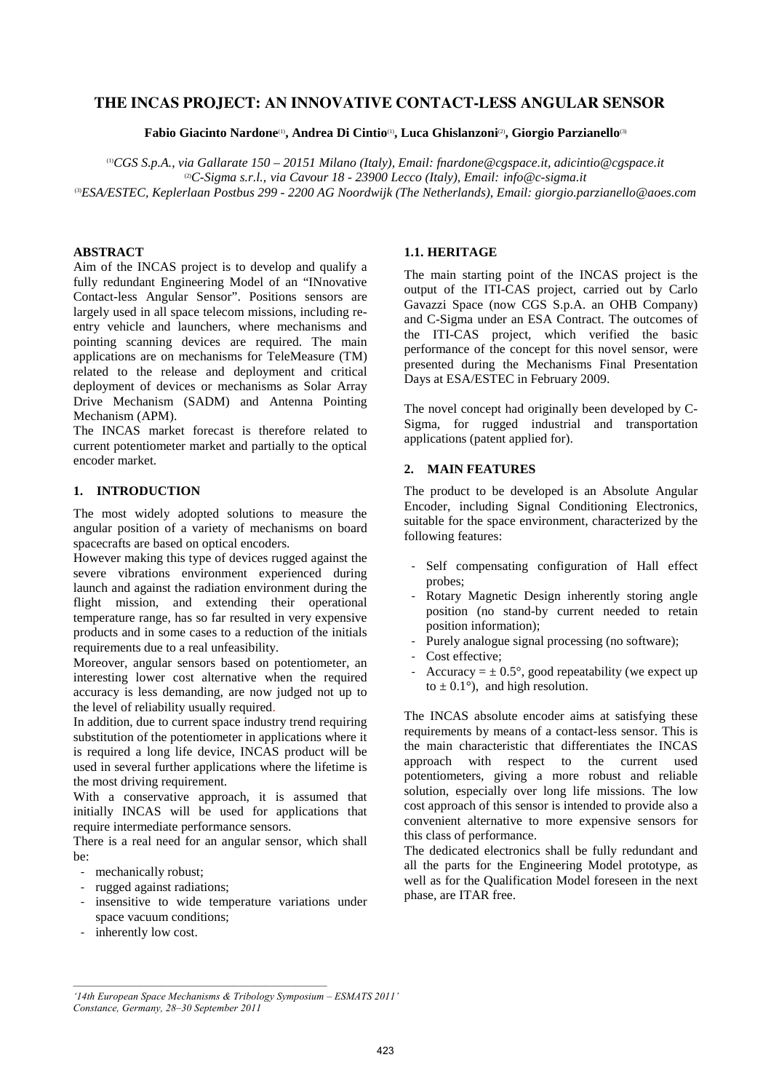# **THE INCAS PROJECT: AN INNOVATIVE CONTACT-LESS ANGULAR SENSOR**

**Fabio Giacinto Nardone**(1)**, Andrea Di Cintio**(1)**, Luca Ghislanzoni**(2)**, Giorgio Parzianello**(3)

(1)*CGS S.p.A., via Gallarate 150 – 20151 Milano (Italy), Email: fnardone@cgspace.it, adicintio@cgspace.it*  (2)*C-Sigma s.r.l., via Cavour 18 - 23900 Lecco (Italy), Email: info@c-sigma.it*  (3)*ESA/ESTEC, Keplerlaan Postbus 299 - 2200 AG Noordwijk (The Netherlands), Email: giorgio.parzianello@aoes.com* 

## **ABSTRACT**

Aim of the INCAS project is to develop and qualify a fully redundant Engineering Model of an "INnovative Contact-less Angular Sensor". Positions sensors are largely used in all space telecom missions, including reentry vehicle and launchers, where mechanisms and pointing scanning devices are required. The main applications are on mechanisms for TeleMeasure (TM) related to the release and deployment and critical deployment of devices or mechanisms as Solar Array Drive Mechanism (SADM) and Antenna Pointing Mechanism (APM).

The INCAS market forecast is therefore related to current potentiometer market and partially to the optical encoder market.

# **1. INTRODUCTION**

The most widely adopted solutions to measure the angular position of a variety of mechanisms on board spacecrafts are based on optical encoders.

However making this type of devices rugged against the severe vibrations environment experienced during launch and against the radiation environment during the flight mission, and extending their operational temperature range, has so far resulted in very expensive products and in some cases to a reduction of the initials requirements due to a real unfeasibility.

Moreover, angular sensors based on potentiometer, an interesting lower cost alternative when the required accuracy is less demanding, are now judged not up to the level of reliability usually required.

In addition, due to current space industry trend requiring substitution of the potentiometer in applications where it is required a long life device, INCAS product will be used in several further applications where the lifetime is the most driving requirement.

With a conservative approach, it is assumed that initially INCAS will be used for applications that require intermediate performance sensors.

There is a real need for an angular sensor, which shall be:

- mechanically robust;
- rugged against radiations;
- insensitive to wide temperature variations under space vacuum conditions;
- inherently low cost.

## **1.1. HERITAGE**

The main starting point of the INCAS project is the output of the ITI-CAS project, carried out by Carlo Gavazzi Space (now CGS S.p.A. an OHB Company) and C-Sigma under an ESA Contract. The outcomes of the ITI-CAS project, which verified the basic performance of the concept for this novel sensor, were presented during the Mechanisms Final Presentation Days at ESA/ESTEC in February 2009.

The novel concept had originally been developed by C-Sigma, for rugged industrial and transportation applications (patent applied for).

## **2. MAIN FEATURES**

The product to be developed is an Absolute Angular Encoder, including Signal Conditioning Electronics, suitable for the space environment, characterized by the following features:

- Self compensating configuration of Hall effect probes;
- Rotary Magnetic Design inherently storing angle position (no stand-by current needed to retain position information);
- Purely analogue signal processing (no software);
- Cost effective;
- Accuracy =  $\pm$  0.5°, good repeatability (we expect up to  $\pm$  0.1°), and high resolution.

The INCAS absolute encoder aims at satisfying these requirements by means of a contact-less sensor. This is the main characteristic that differentiates the INCAS approach with respect to the current used potentiometers, giving a more robust and reliable solution, especially over long life missions. The low cost approach of this sensor is intended to provide also a convenient alternative to more expensive sensors for this class of performance.

The dedicated electronics shall be fully redundant and all the parts for the Engineering Model prototype, as well as for the Qualification Model foreseen in the next phase, are ITAR free.

*<sup>&#</sup>x27;14th European Space Mechanisms & Tribology Symposium – ESMATS 2011' Constance, Germany, 28–30 September 2011*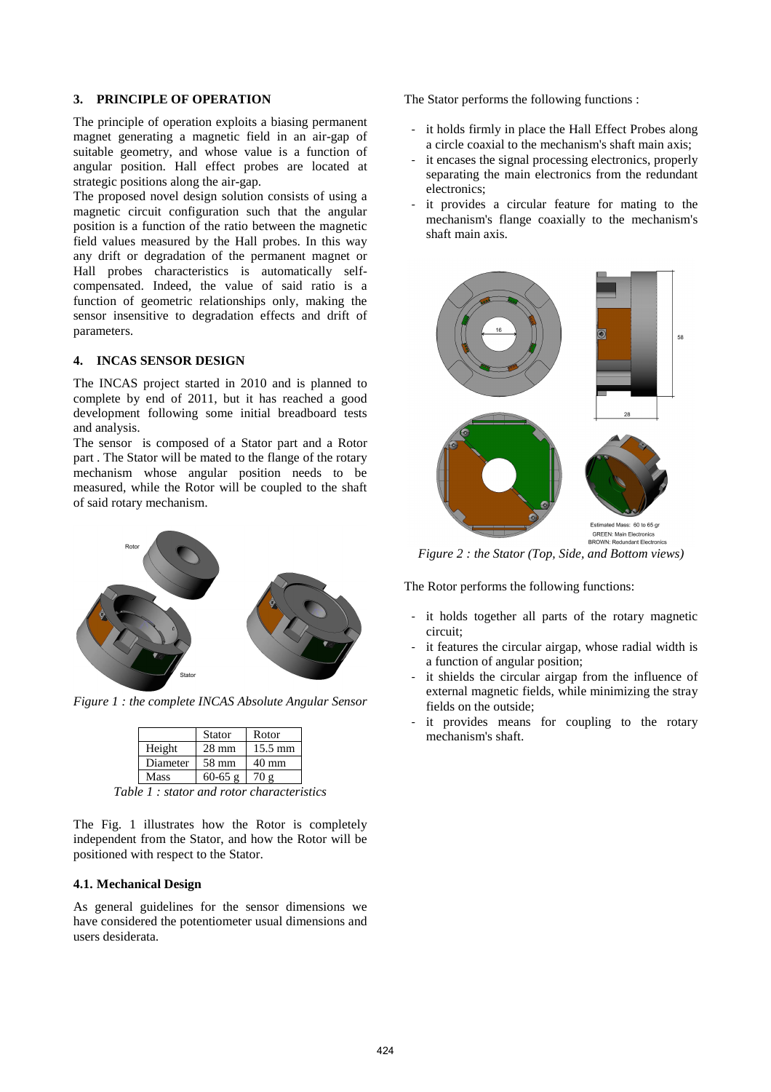## **3. PRINCIPLE OF OPERATION**

The principle of operation exploits a biasing permanent magnet generating a magnetic field in an air-gap of suitable geometry, and whose value is a function of angular position. Hall effect probes are located at strategic positions along the air-gap.

The proposed novel design solution consists of using a magnetic circuit configuration such that the angular position is a function of the ratio between the magnetic field values measured by the Hall probes. In this way any drift or degradation of the permanent magnet or Hall probes characteristics is automatically selfcompensated. Indeed, the value of said ratio is a function of geometric relationships only, making the sensor insensitive to degradation effects and drift of parameters.

# **4. INCAS SENSOR DESIGN**

The INCAS project started in 2010 and is planned to complete by end of 2011, but it has reached a good development following some initial breadboard tests and analysis.

The sensor is composed of a Stator part and a Rotor part . The Stator will be mated to the flange of the rotary mechanism whose angular position needs to be measured, while the Rotor will be coupled to the shaft of said rotary mechanism.



*Figure 1 : the complete INCAS Absolute Angular Sensor* 

|          | <b>Stator</b>   | Rotor             |
|----------|-----------------|-------------------|
| Height   | $28 \text{ mm}$ | $15.5 \text{ mm}$ |
| Diameter | 58 mm           | $40 \text{ mm}$   |
| Mass     | $60 - 65$ g     | 70 o              |

*Table 1 : stator and rotor characteristics* 

The Fig. 1 illustrates how the Rotor is completely independent from the Stator, and how the Rotor will be positioned with respect to the Stator.

### **4.1. Mechanical Design**

As general guidelines for the sensor dimensions we have considered the potentiometer usual dimensions and users desiderata.

The Stator performs the following functions :

- it holds firmly in place the Hall Effect Probes along a circle coaxial to the mechanism's shaft main axis;
- it encases the signal processing electronics, properly separating the main electronics from the redundant electronics;
- it provides a circular feature for mating to the mechanism's flange coaxially to the mechanism's shaft main axis.



*Figure 2 : the Stator (Top, Side, and Bottom views)* 

The Rotor performs the following functions:

- it holds together all parts of the rotary magnetic circuit;
- it features the circular airgap, whose radial width is a function of angular position;
- it shields the circular airgap from the influence of external magnetic fields, while minimizing the stray fields on the outside;
- it provides means for coupling to the rotary mechanism's shaft.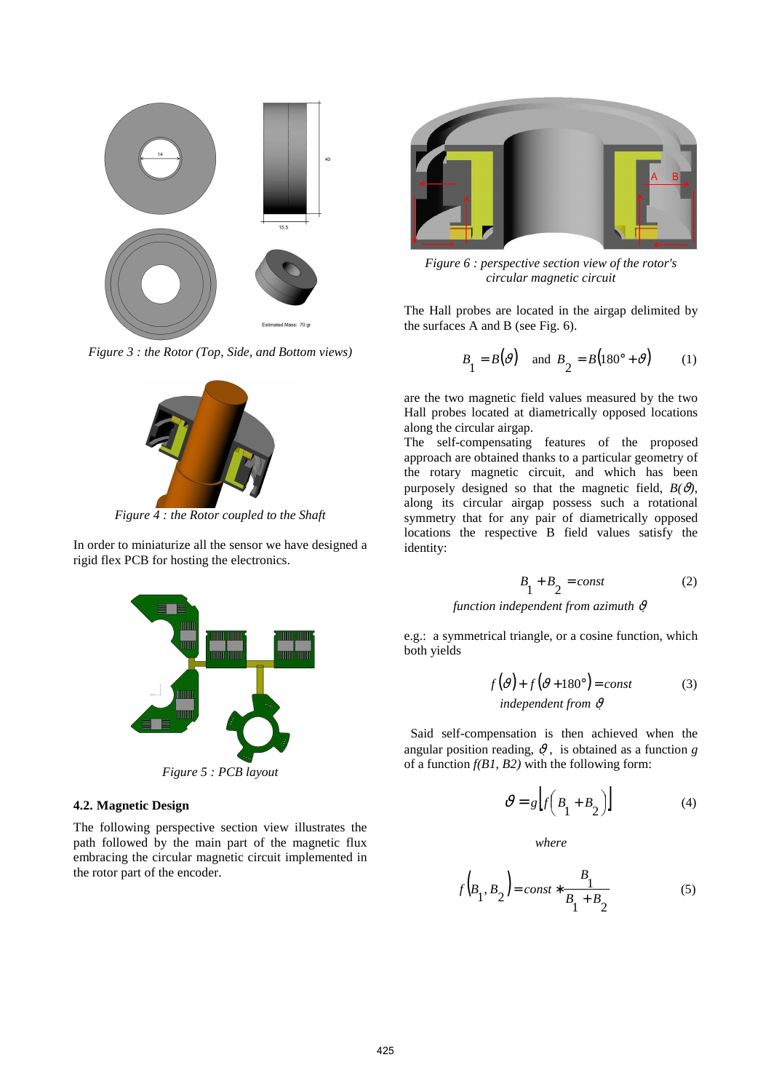

*Figure 3 : the Rotor (Top, Side, and Bottom views)* 



*Figure 4 : the Rotor coupled to the Shaft* 

In order to miniaturize all the sensor we have designed a

rigid flex PCB for hosting the electronics.



*Figure 5 : PCB layout* 

# **4.2. Magnetic Design**

The following perspective section view illustrates the path followed by the main part of the magnetic flux embracing the circular magnetic circuit implemented in the rotor part of the encoder.



*Figure 6 : perspective section view of the rotor's circular magnetic circuit* 

The Hall probes are located in the airgap delimited by the surfaces A and B (see Fig. 6).

$$
B_1 = B(\vartheta) \quad \text{and } B_2 = B(180^\circ + \vartheta) \tag{1}
$$

are the two magnetic field values measured by the two Hall probes located at diametrically opposed locations along the circular airgap.

The self-compensating features of the proposed approach are obtained thanks to a particular geometry of the rotary magnetic circuit, and which has been purposely designed so that the magnetic field,  $B(\theta)$ , along its circular airgap possess such a rotational symmetry that for any pair of diametrically opposed locations the respective B field values satisfy the identity:

$$
B_1 + B_2 = const \tag{2}
$$

## *function independent from azimuth* <sup>ϑ</sup>

e.g.: a symmetrical triangle, or a cosine function, which both yields

$$
f(\vartheta) + f(\vartheta + 180^\circ) = const
$$
 (3)  
independent from  $\vartheta$ 

 Said self-compensation is then achieved when the angular position reading,  $\vartheta$ , is obtained as a function *g* of a function *f(B1, B2)* with the following form:

$$
\mathcal{V} = g \left[ f \left( B_1 + B_2 \right) \right] \tag{4}
$$

*where* 

$$
f(B_1, B_2) = const * \frac{B_1}{B_1 + B_2}
$$
 (5)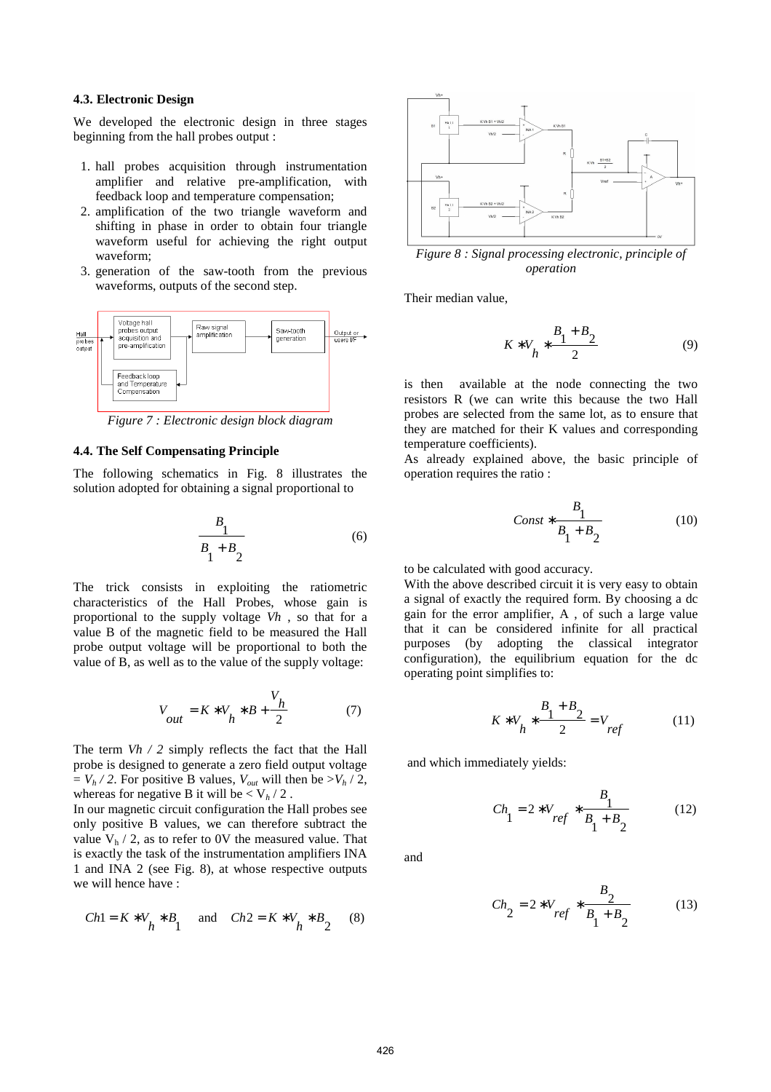#### **4.3. Electronic Design**

We developed the electronic design in three stages beginning from the hall probes output :

- 1. hall probes acquisition through instrumentation amplifier and relative pre-amplification, with feedback loop and temperature compensation;
- 2. amplification of the two triangle waveform and shifting in phase in order to obtain four triangle waveform useful for achieving the right output waveform;
- 3. generation of the saw-tooth from the previous waveforms, outputs of the second step.



*Figure 7 : Electronic design block diagram* 

#### **4.4. The Self Compensating Principle**

The following schematics in Fig. 8 illustrates the solution adopted for obtaining a signal proportional to

$$
\frac{B_1}{B_1 + B_2} \tag{6}
$$

The trick consists in exploiting the ratiometric characteristics of the Hall Probes, whose gain is proportional to the supply voltage *Vh* , so that for a value B of the magnetic field to be measured the Hall probe output voltage will be proportional to both the value of B, as well as to the value of the supply voltage:

$$
V_{out} = K \times V_h \times B + \frac{V_h}{2}
$$
 (7)

The term *Vh / 2* simply reflects the fact that the Hall probe is designed to generate a zero field output voltage  $= V_h / 2$ . For positive B values,  $V_{out}$  will then be  $> V_h / 2$ , whereas for negative B it will be  $\langle V_h / 2 \rangle$ .

In our magnetic circuit configuration the Hall probes see only positive B values, we can therefore subtract the value  $V_h / 2$ , as to refer to 0V the measured value. That is exactly the task of the instrumentation amplifiers INA 1 and INA 2 (see Fig. 8), at whose respective outputs we will hence have :

$$
Ch1 = K * V_h * B_1 \text{ and } Ch2 = K * V_h * B_2 \quad (8)
$$



*operation* 

Their median value,

$$
K \ast V_h \ast \frac{B_1 + B_2}{2} \tag{9}
$$

is then available at the node connecting the two resistors R (we can write this because the two Hall probes are selected from the same lot, as to ensure that they are matched for their K values and corresponding temperature coefficients).

As already explained above, the basic principle of operation requires the ratio :

$$
Const * \frac{B_1}{B_1 + B_2} \tag{10}
$$

to be calculated with good accuracy.

With the above described circuit it is very easy to obtain a signal of exactly the required form. By choosing a dc gain for the error amplifier, A , of such a large value that it can be considered infinite for all practical purposes (by adopting the classical integrator configuration), the equilibrium equation for the dc operating point simplifies to:

$$
K \ast V_h \ast \frac{B_1 + B_2}{2} = V_{ref}
$$
 (11)

and which immediately yields:

$$
Ch_1 = 2 \cdot V_{ref} \cdot \frac{B_1}{B_1 + B_2} \tag{12}
$$

and

$$
Ch_2 = 2 \cdot V_{ref} \cdot \frac{B_2}{B_1 + B_2} \tag{13}
$$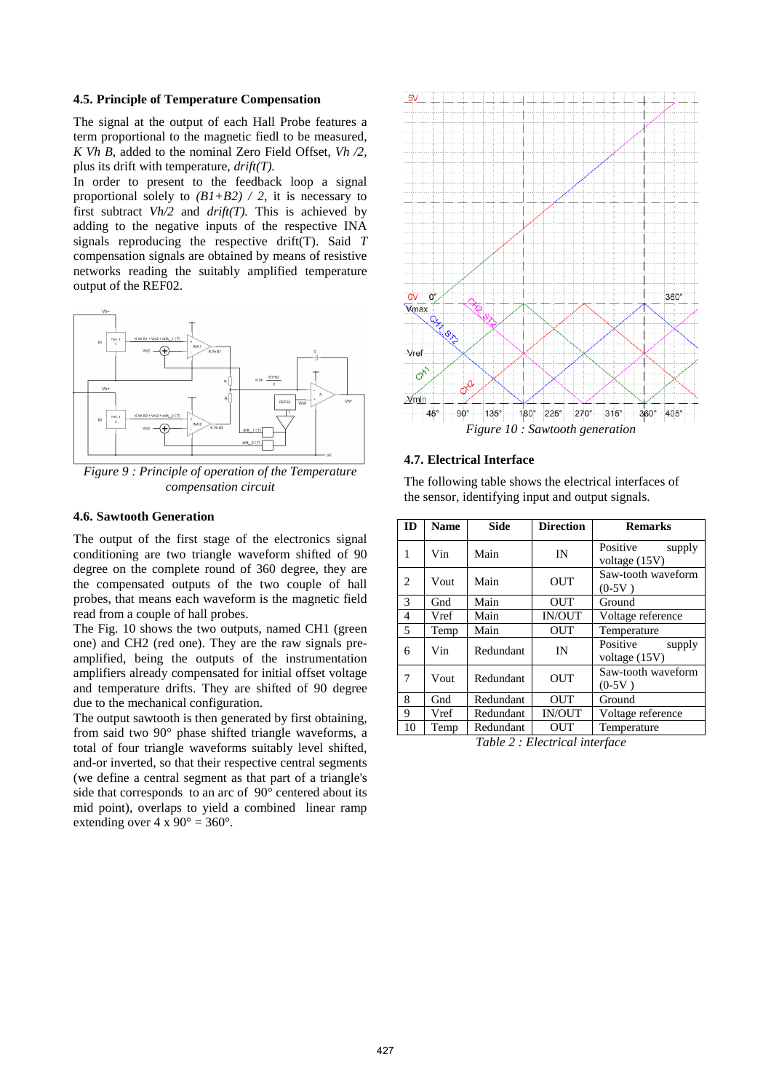## **4.5. Principle of Temperature Compensation**

The signal at the output of each Hall Probe features a term proportional to the magnetic fiedl to be measured, *K Vh B*, added to the nominal Zero Field Offset, *Vh /2*, plus its drift with temperature, *drift(T).*

In order to present to the feedback loop a signal proportional solely to  $(B1+B2) / 2$ , it is necessary to first subtract *Vh/2* and *drift(T).* This is achieved by adding to the negative inputs of the respective INA signals reproducing the respective drift(T). Said *T* compensation signals are obtained by means of resistive networks reading the suitably amplified temperature output of the REF02.



*Figure 9 : Principle of operation of the Temperature compensation circuit* 

## **4.6. Sawtooth Generation**

The output of the first stage of the electronics signal conditioning are two triangle waveform shifted of 90 degree on the complete round of 360 degree, they are the compensated outputs of the two couple of hall probes, that means each waveform is the magnetic field read from a couple of hall probes.

The Fig. 10 shows the two outputs, named CH1 (green one) and CH2 (red one). They are the raw signals preamplified, being the outputs of the instrumentation amplifiers already compensated for initial offset voltage and temperature drifts. They are shifted of 90 degree due to the mechanical configuration.

The output sawtooth is then generated by first obtaining, from said two 90° phase shifted triangle waveforms, a total of four triangle waveforms suitably level shifted, and-or inverted, so that their respective central segments (we define a central segment as that part of a triangle's side that corresponds to an arc of 90° centered about its mid point), overlaps to yield a combined linear ramp extending over  $4 \times 90^\circ = 360^\circ$ .



#### **4.7. Electrical Interface**

The following table shows the electrical interfaces of the sensor, identifying input and output signals.

| ID | <b>Name</b> | <b>Side</b> | <b>Direction</b> | <b>Remarks</b>                      |
|----|-------------|-------------|------------------|-------------------------------------|
| 1  | Vin         | Main        | IN               | Positive<br>supply<br>voltage (15V) |
| 2  | Vout        | Main        | <b>OUT</b>       | Saw-tooth waveform<br>$(0-5V)$      |
| 3  | Gnd         | Main        | <b>OUT</b>       | Ground                              |
| 4  | Vref        | Main        | <b>IN/OUT</b>    | Voltage reference                   |
| 5  | Temp        | Main        | <b>OUT</b>       | Temperature                         |
| 6  | Vin         | Redundant   | IN               | Positive<br>supply<br>voltage (15V) |
| 7  | Vout        | Redundant   | <b>OUT</b>       | Saw-tooth waveform<br>$(0-5V)$      |
| 8  | Gnd         | Redundant   | <b>OUT</b>       | Ground                              |
| 9  | Vref        | Redundant   | <b>IN/OUT</b>    | Voltage reference                   |
| 10 | Temp        | Redundant   | OUT              | Temperature                         |

*Table 2 : Electrical interface*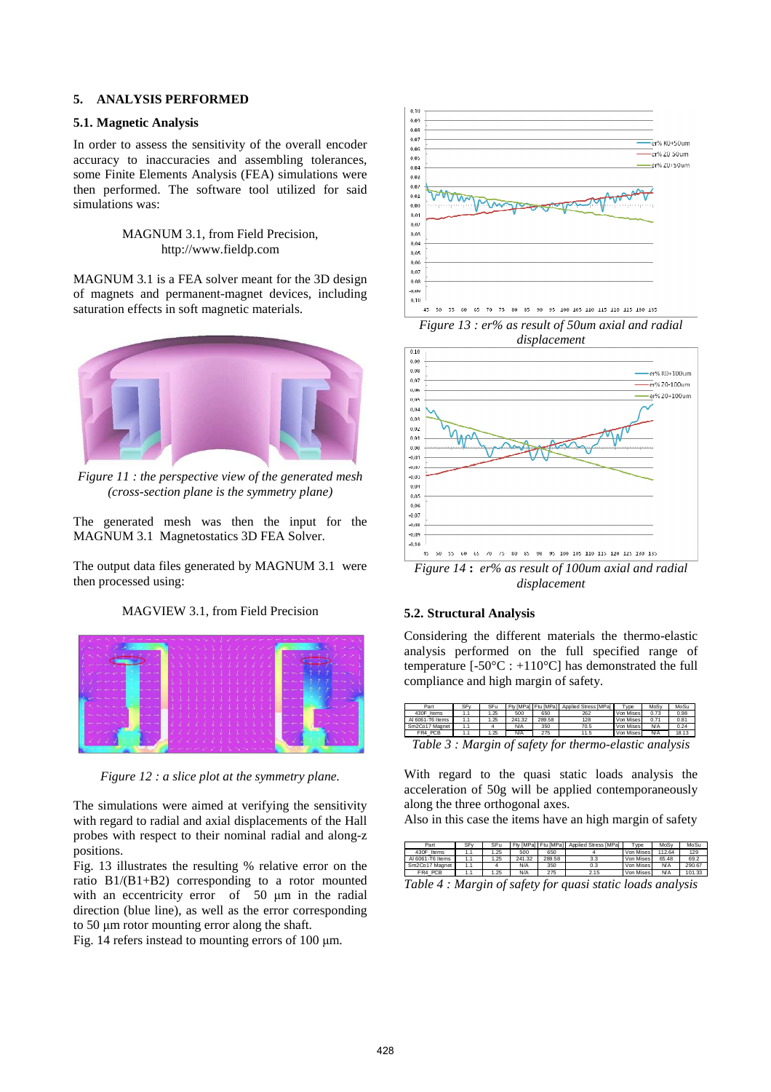## **5. ANALYSIS PERFORMED**

### **5.1. Magnetic Analysis**

In order to assess the sensitivity of the overall encoder accuracy to inaccuracies and assembling tolerances, some Finite Elements Analysis (FEA) simulations were then performed. The software tool utilized for said simulations was:

# MAGNUM 3.1, from Field Precision, http://www.fieldp.com

MAGNUM 3.1 is a FEA solver meant for the 3D design of magnets and permanent-magnet devices, including saturation effects in soft magnetic materials.



*Figure 11 : the perspective view of the generated mesh (cross-section plane is the symmetry plane)* 

The generated mesh was then the input for the MAGNUM 3.1 Magnetostatics 3D FEA Solver.

The output data files generated by MAGNUM 3.1 were then processed using:

MAGVIEW 3.1, from Field Precision



*Figure 12 : a slice plot at the symmetry plane.* 

The simulations were aimed at verifying the sensitivity with regard to radial and axial displacements of the Hall probes with respect to their nominal radial and along-z positions.

Fig. 13 illustrates the resulting % relative error on the ratio B1/(B1+B2) corresponding to a rotor mounted with an eccentricity error of 50  $\mu$ m in the radial direction (blue line), as well as the error corresponding to 50 µm rotor mounting error along the shaft.

Fig. 14 refers instead to mounting errors of 100  $\mu$ m.



*Figure 13 : er% as result of 50um axial and radial displacement* 



*displacement* 

# **5.2. Structural Analysis**

Considering the different materials the thermo-elastic analysis performed on the full specified range of temperature  $[-50^{\circ}\text{C} : +110^{\circ}\text{C}]$  has demonstrated the full compliance and high margin of safety.

| Part                                                   | SF <sub>V</sub> | SFu  |        | Fty [MPa] Ftu [MPa] | Applied Stress [MPa] | Type      | MoSy       | MoSu  |
|--------------------------------------------------------|-----------------|------|--------|---------------------|----------------------|-----------|------------|-------|
| 430F Items                                             | 1.1             | 1.25 | 500    | 650                 | 262                  | Von Mises | 0.73       | 0.98  |
| Al 6061-T6 Items                                       | 1.1             | 1.25 | 241.32 | 289.58              | 128                  | Von Mises | 0.71       | 0.81  |
| Sm2Co17 Magnet                                         | 1.1             |      | N/A    | 350                 | 70.5                 | Von Mises | <b>N/A</b> | 0.24  |
| FR4 PCB                                                |                 | 1.25 | N/A    | 275                 | 11.5                 | Von Mises | <b>N/A</b> | 18.13 |
| Table 3 : Margin of safety for thermo-elastic analysis |                 |      |        |                     |                      |           |            |       |

With regard to the quasi static loads analysis the acceleration of 50g will be applied contemporaneously along the three orthogonal axes.

Also in this case the items have an high margin of safety

| Part             | SF <sub>V</sub> | SFu  |        |        | Fty [MPa] Ftu [MPa] Applied Stress [MPa] | Tvpe      | MoSy       | MoSu   |
|------------------|-----------------|------|--------|--------|------------------------------------------|-----------|------------|--------|
| 430F Items       | 1.1             | . 25 | 500    | 650    |                                          | Von Mises | 112.64     | 129    |
| Al 6061-T6 Items | 1.1             | .25  | 241.32 | 289.58 | 3.3                                      | Von Mises | 65.48      | 69.2   |
| Sm2Co17 Magnet   | 1.1             |      | N/A    | 350    | 0.3                                      | Von Mises | <b>N/A</b> | 290.67 |
| FR4 PCB          | 1.1             | . 25 | N/A    | 275    | 2.15                                     | Von Mises | <b>N/A</b> | 101.33 |
| -- - -           |                 |      |        | $\sim$ |                                          |           |            |        |

*Table 4 : Margin of safety for quasi static loads analysis*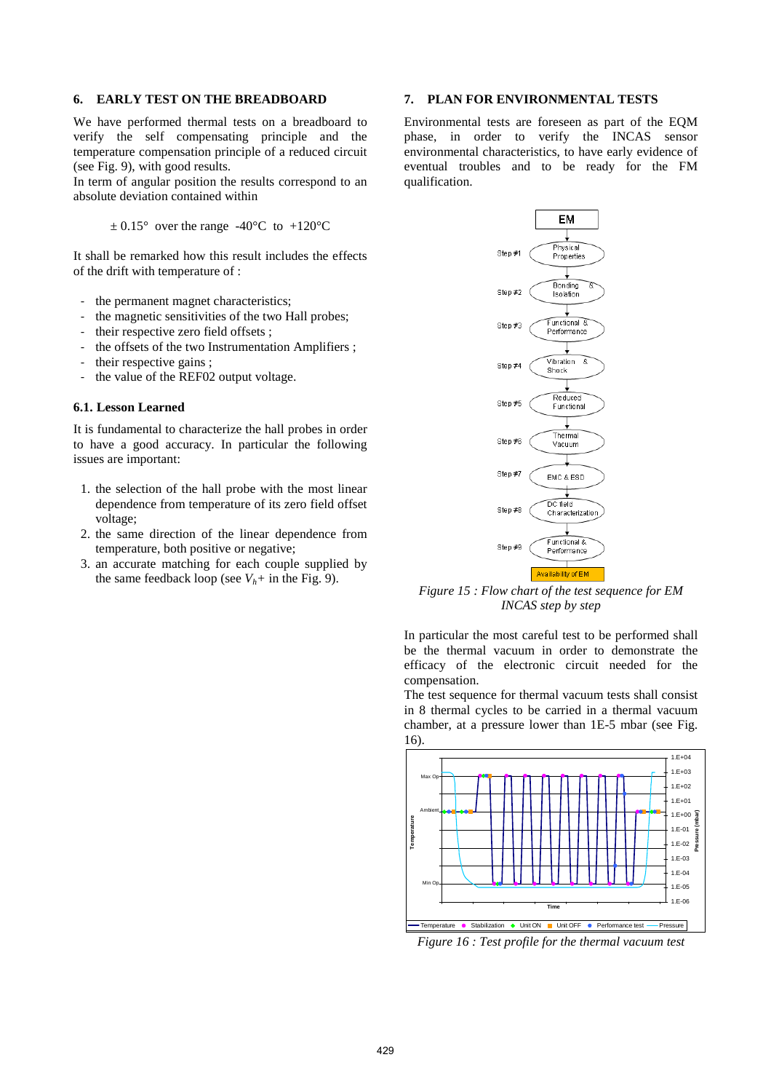### **6. EARLY TEST ON THE BREADBOARD**

We have performed thermal tests on a breadboard to verify the self compensating principle and the temperature compensation principle of a reduced circuit (see Fig. 9), with good results.

In term of angular position the results correspond to an absolute deviation contained within

 $\pm$  0.15° over the range -40°C to +120°C

It shall be remarked how this result includes the effects of the drift with temperature of :

- the permanent magnet characteristics;
- the magnetic sensitivities of the two Hall probes;
- their respective zero field offsets ;
- the offsets of the two Instrumentation Amplifiers;
- their respective gains;
- the value of the REF02 output voltage.

#### **6.1. Lesson Learned**

It is fundamental to characterize the hall probes in order to have a good accuracy. In particular the following issues are important:

- 1. the selection of the hall probe with the most linear dependence from temperature of its zero field offset voltage;
- 2. the same direction of the linear dependence from temperature, both positive or negative;
- 3. an accurate matching for each couple supplied by the same feedback loop (see  $V_h$ + in the Fig. 9).

### **7. PLAN FOR ENVIRONMENTAL TESTS**

Environmental tests are foreseen as part of the EQM phase, in order to verify the INCAS sensor environmental characteristics, to have early evidence of eventual troubles and to be ready for the FM qualification.



*Figure 15 : Flow chart of the test sequence for EM INCAS step by step* 

In particular the most careful test to be performed shall be the thermal vacuum in order to demonstrate the efficacy of the electronic circuit needed for the compensation.

The test sequence for thermal vacuum tests shall consist in 8 thermal cycles to be carried in a thermal vacuum chamber, at a pressure lower than 1E-5 mbar (see Fig. 16).



*Figure 16 : Test profile for the thermal vacuum test*